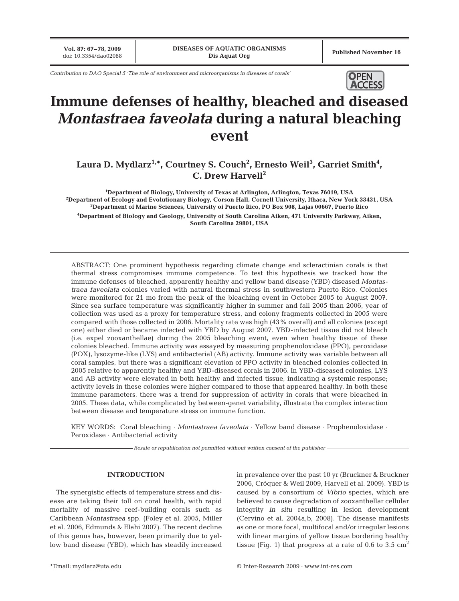**Vol. 87: 67–78, 2009**

*Contribution to DAO Special 5 'The role of environment and microorganisms in diseases of corals'* **OPEN** 



# **Immune defenses of healthy, bleached and diseased** *Montastraea faveolata* **during a natural bleaching event**

# Laura D. Mydlarz<sup>1,</sup>\*, Courtney S. Couch<sup>2</sup>, Ernesto Weil<sup>3</sup>, Garriet Smith<sup>4</sup>, **C. Drew Harvell2**

 **Department of Biology, University of Texas at Arlington, Arlington, Texas 76019, USA Department of Ecology and Evolutionary Biology, Corson Hall, Cornell University, Ithaca, New York 33431, USA Department of Marine Sciences, University of Puerto Rico, PO Box 908, Lajas 00667, Puerto Rico Department of Biology and Geology, University of South Carolina Aiken, 471 University Parkway, Aiken, South Carolina 29801, USA**

ABSTRACT: One prominent hypothesis regarding climate change and scleractinian corals is that thermal stress compromises immune competence. To test this hypothesis we tracked how the immune defenses of bleached, apparently healthy and yellow band disease (YBD) diseased *Montastraea faveolata* colonies varied with natural thermal stress in southwestern Puerto Rico. Colonies were monitored for 21 mo from the peak of the bleaching event in October 2005 to August 2007. Since sea surface temperature was significantly higher in summer and fall 2005 than 2006, year of collection was used as a proxy for temperature stress, and colony fragments collected in 2005 were compared with those collected in 2006. Mortality rate was high (43% overall) and all colonies (except one) either died or became infected with YBD by August 2007. YBD-infected tissue did not bleach (i.e. expel zooxanthellae) during the 2005 bleaching event, even when healthy tissue of these colonies bleached. Immune activity was assayed by measuring prophenoloxidase (PPO), peroxidase (POX), lysozyme-like (LYS) and antibacterial (AB) activity. Immune activity was variable between all coral samples, but there was a significant elevation of PPO activity in bleached colonies collected in 2005 relative to apparently healthy and YBD-diseased corals in 2006. In YBD-diseased colonies, LYS and AB activity were elevated in both healthy and infected tissue, indicating a systemic response; activity levels in these colonies were higher compared to those that appeared healthy. In both these immune parameters, there was a trend for suppression of activity in corals that were bleached in 2005. These data, while complicated by between-genet variability, illustrate the complex interaction between disease and temperature stress on immune function.

KEY WORDS: Coral bleaching · *Montastraea faveolata* · Yellow band disease · Prophenoloxidase · Peroxidase · Antibacterial activity

*Resale or republication not permitted without written consent of the publisher*

# **INTRODUCTION**

The synergistic effects of temperature stress and disease are taking their toll on coral health, with rapid mortality of massive reef-building corals such as Caribbean *Montastraea* spp. (Foley et al. 2005, Miller et al. 2006, Edmunds & Elahi 2007). The recent decline of this genus has, however, been primarily due to yellow band disease (YBD), which has steadily increased

in prevalence over the past 10 yr (Bruckner & Bruckner 2006, Cróquer & Weil 2009, Harvell et al. 2009). YBD is caused by a consortium of *Vibrio* species, which are believed to cause degradation of zooxanthellar cellular integrity *in situ* resulting in lesion development (Cervino et al. 2004a,b, 2008). The disease manifests as one or more focal, multifocal and/or irregular lesions with linear margins of yellow tissue bordering healthy tissue (Fig. 1) that progress at a rate of 0.6 to 3.5  $\text{cm}^2$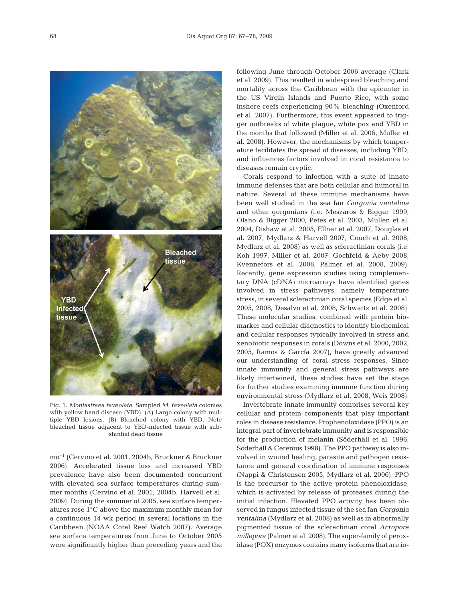

Fig. 1. *Montastraea faveolata*. Sampled *M. faveolata* colonies with yellow band disease (YBD). (A) Large colony with multiple YBD lesions. (B) Bleached colony with YBD. Note bleached tissue adjacent to YBD-infected tissue with substantial dead tissue

mo–1 (Cervino et al. 2001, 2004b, Bruckner & Bruckner 2006). Accelerated tissue loss and increased YBD prevalence have also been documented concurrent with elevated sea surface temperatures during summer months (Cervino et al. 2001, 2004b, Harvell et al. 2009). During the summer of 2005, sea surface temperatures rose 1°C above the maximum monthly mean for a continuous 14 wk period in several locations in the Caribbean (NOAA Coral Reef Watch 2007). Average sea surface temperatures from June to October 2005 were significantly higher than preceding years and the following June through October 2006 average (Clark et al. 2009). This resulted in widespread bleaching and mortality across the Caribbean with the epicenter in the US Virgin Islands and Puerto Rico, with some inshore reefs experiencing 90% bleaching (Oxenford et al. 2007). Furthermore, this event appeared to trigger outbreaks of white plague, white pox and YBD in the months that followed (Miller et al. 2006, Muller et al. 2008). However, the mechanisms by which temperature facilitates the spread of diseases, including YBD, and influences factors involved in coral resistance to diseases remain cryptic.

Corals respond to infection with a suite of innate immune defenses that are both cellular and humoral in nature. Several of these immune mechanisms have been well studied in the sea fan *Gorgonia ventalina* and other gorgonians (i.e. Meszaros & Bigger 1999, Olano & Bigger 2000, Petes et al. 2003, Mullen et al. 2004, Dishaw et al. 2005, Ellner et al. 2007, Douglas et al. 2007, Mydlarz & Harvell 2007, Couch et al. 2008, Mydlarz et al. 2008) as well as scleractinian corals (i.e. Koh 1997, Miller et al. 2007, Gochfeld & Aeby 2008, Kvennefors et al. 2008, Palmer et al. 2008, 2009). Recently, gene expression studies using complementary DNA (cDNA) microarrays have identified genes involved in stress pathways, namely temperature stress, in several scleractinian coral species (Edge et al. 2005, 2008, Desalvo et al. 2008, Schwartz et al. 2008). These molecular studies, combined with protein biomarker and cellular diagnostics to identify biochemical and cellular responses typically involved in stress and xenobiotic responses in corals (Downs et al. 2000, 2002, 2005, Ramos & García 2007), have greatly advanced our understanding of coral stress responses. Since innate immunity and general stress pathways are likely intertwined, these studies have set the stage for further studies examining immune function during environmental stress (Mydlarz et al. 2008, Weis 2008).

Invertebrate innate immunity comprises several key cellular and protein components that play important roles in disease resistance. Prophenoloxidase (PPO) is an integral part of invertebrate immunity and is responsible for the production of melanin (Söderhäll et al. 1996, Söderhäll & Cerenius 1998). The PPO pathway is also involved in wound healing, parasite and pathogen resistance and general coordination of immune responses (Nappi & Christensen 2005, Mydlarz et al. 2006). PPO is the precursor to the active protein phenoloxidase, which is activated by release of proteases during the initial infection. Elevated PPO activity has been observed in fungus infected tissue of the sea fan *Gorgonia ventalina* (Mydlarz et al. 2008) as well as in abnormally pigmented tissue of the scleractinian coral *Acropora millepora* (Palmer et al. 2008). The super-family of peroxidase (POX) enzymes contains many isoforms that are in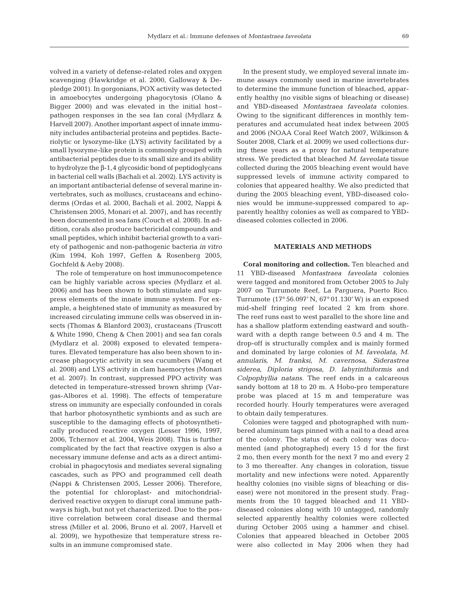volved in a variety of defense-related roles and oxygen scavenging (Hawkridge et al. 2000, Galloway & Depledge 2001). In gorgonians, POX activity was detected in amoebocytes undergoing phagocytosis (Olano & Bigger 2000) and was elevated in the initial host– pathogen responses in the sea fan coral (Mydlarz & Harvell 2007). Another important aspect of innate immunity includes antibacterial proteins and peptides. Bacteriolytic or lysozyme-like (LYS) activity facilitated by a small lysozyme-like protein is commonly grouped with antibacterial peptides due to its small size and its ability to hydrolyze the β-1,4 glycosidic bond of peptidoglycans in bacterial cell walls (Bachali et al. 2002). LYS activity is an important antibacterial defense of several marine invertebrates, such as molluscs, crustaceans and echinoderms (Ordas et al. 2000, Bachali et al. 2002, Nappi & Christensen 2005, Monari et al. 2007), and has recently been documented in sea fans (Couch et al. 2008). In addition, corals also produce bactericidal compounds and small peptides, which inhibit bacterial growth to a variety of pathogenic and non-pathogenic bacteria *in vitro* (Kim 1994, Koh 1997, Geffen & Rosenberg 2005, Gochfeld & Aeby 2008).

The role of temperature on host immunocompetence can be highly variable across species (Mydlarz et al. 2006) and has been shown to both stimulate and suppress elements of the innate immune system. For example, a heightened state of immunity as measured by increased circulating immune cells was observed in insects (Thomas & Blanford 2003), crustaceans (Truscott & White 1990, Cheng & Chen 2001) and sea fan corals (Mydlarz et al. 2008) exposed to elevated temperatures. Elevated temperature has also been shown to increase phagocytic activity in sea cucumbers (Wang et al. 2008) and LYS activity in clam haemocytes (Monari et al. 2007). In contrast, suppressed PPO activity was detected in temperature-stressed brown shrimp (Vargas-Albores et al. 1998). The effects of temperature stress on immunity are especially confounded in corals that harbor photosynthetic symbionts and as such are susceptible to the damaging effects of photosynthetically produced reactive oxygen (Lesser 1996, 1997, 2006, Tchernov et al. 2004, Weis 2008). This is further complicated by the fact that reactive oxygen is also a necessary immune defense and acts as a direct antimicrobial in phagocytosis and mediates several signaling cascades, such as PPO and programmed cell death (Nappi & Christensen 2005, Lesser 2006). Therefore, the potential for chloroplast- and mitochondrialderived reactive oxygen to disrupt coral immune pathways is high, but not yet characterized. Due to the positive correlation between coral disease and thermal stress (Miller et al. 2006, Bruno et al. 2007, Harvell et al. 2009), we hypothesize that temperature stress results in an immune compromised state.

In the present study, we employed several innate immune assays commonly used in marine invertebrates to determine the immune function of bleached, apparently healthy (no visible signs of bleaching or disease) and YBD-diseased *Montastraea faveolata* colonies. Owing to the significant differences in monthly temperatures and accumulated heat index between 2005 and 2006 (NOAA Coral Reef Watch 2007, Wilkinson & Souter 2008, Clark et al. 2009) we used collections during these years as a proxy for natural temperature stress. We predicted that bleached *M. faveolata* tissue collected during the 2005 bleaching event would have suppressed levels of immune activity compared to colonies that appeared healthy. We also predicted that during the 2005 bleaching event, YBD-diseased colonies would be immune-suppressed compared to apparently healthy colonies as well as compared to YBDdiseased colonies collected in 2006.

## **MATERIALS AND METHODS**

**Coral monitoring and collection.** Ten bleached and 11 YBD-diseased *Montastraea faveolata* colonies were tagged and monitored from October 2005 to July 2007 on Turrumote Reef, La Parguera, Puerto Rico. Turrumote (17° 56.097' N, 67° 01.130' W) is an exposed mid-shelf fringing reef located 2 km from shore. The reef runs east to west parallel to the shore line and has a shallow platform extending eastward and southward with a depth range between 0.5 and 4 m. The drop-off is structurally complex and is mainly formed and dominated by large colonies of *M. faveolata*, *M. annularis*, *M. franksi*, *M. cavernosa*, *Siderastrea siderea*, *Diploria strigosa*, *D. labyrinthiformis* and *Colpophyllia natans*. The reef ends in a calcareous sandy bottom at 18 to 20 m. A Hobo-pro temperature probe was placed at 15 m and temperature was recorded hourly. Hourly temperatures were averaged to obtain daily temperatures.

Colonies were tagged and photographed with numbered aluminum tags pinned with a nail to a dead area of the colony. The status of each colony was documented (and photographed) every 15 d for the first 2 mo, then every month for the next 7 mo and every 2 to 3 mo thereafter. Any changes in coloration, tissue mortality and new infections were noted. Apparently healthy colonies (no visible signs of bleaching or disease) were not monitored in the present study. Fragments from the 10 tagged bleached and 11 YBDdiseased colonies along with 10 untagged, randomly selected apparently healthy colonies were collected during October 2005 using a hammer and chisel. Colonies that appeared bleached in October 2005 were also collected in May 2006 when they had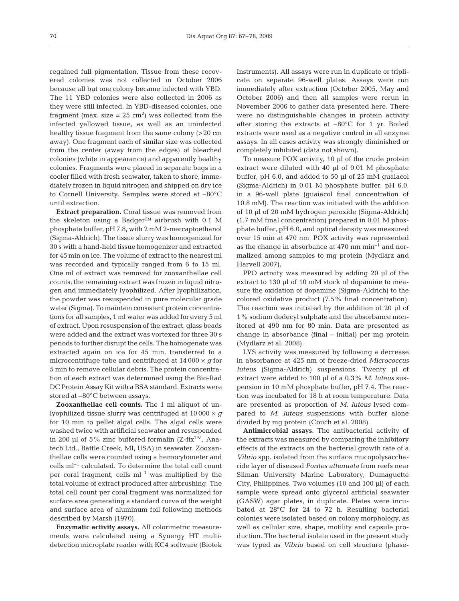regained full pigmentation. Tissue from these recovered colonies was not collected in October 2006 because all but one colony became infected with YBD. The 11 YBD colonies were also collected in 2006 as they were still infected. In YBD-diseased colonies, one fragment (max. size =  $25 \text{ cm}^2$ ) was collected from the infected yellowed tissue, as well as an uninfected healthy tissue fragment from the same colony (>20 cm away). One fragment each of similar size was collected from the center (away from the edges) of bleached colonies (white in appearance) and apparently healthy colonies. Fragments were placed in separate bags in a cooler filled with fresh seawater, taken to shore, immediately frozen in liquid nitrogen and shipped on dry ice to Cornell University. Samples were stored at –80°C until extraction.

**Extract preparation.** Coral tissue was removed from the skeleton using a Badger™ airbrush with 0.1 M phosphate buffer, pH 7.8, with 2 mM 2-mercaptoethanol (Sigma-Aldrich). The tissue slurry was homogenized for 30 s with a hand-held tissue homogenizer and extracted for 45 min on ice. The volume of extract to the nearest ml was recorded and typically ranged from 6 to 15 ml. One ml of extract was removed for zooxanthellae cell counts; the remaining extract was frozen in liquid nitrogen and immediately lyophilized. After lyophilization, the powder was resuspended in pure molecular grade water (Sigma). To maintain consistent protein concentrations for all samples, 1 ml water was added for every 5 ml of extract. Upon resuspension of the extract, glass beads were added and the extract was vortexed for three 30 s periods to further disrupt the cells. The homogenate was extracted again on ice for 45 min, transferred to a microcentrifuge tube and centrifuged at  $14\,000 \times g$  for 5 min to remove cellular debris. The protein concentration of each extract was determined using the Bio-Rad DC Protein Assay Kit with a BSA standard. Extracts were stored at –80°C between assays.

**Zooxanthellae cell counts.** The 1 ml aliquot of unlyophilized tissue slurry was centrifuged at 10 000 × *g* for 10 min to pellet algal cells. The algal cells were washed twice with artificial seawater and resuspended in 200 µl of 5% zinc buffered formalin ( $Z$ -fix<sup>TM</sup>, Anatech Ltd., Battle Creek, MI, USA) in seawater. Zooxanthellae cells were counted using a hemocytometer and cells ml–1 calculated. To determine the total cell count per coral fragment, cells  $ml^{-1}$  was multiplied by the total volume of extract produced after airbrushing. The total cell count per coral fragment was normalized for surface area generating a standard curve of the weight and surface area of aluminum foil following methods described by Marsh (1970).

**Enzymatic activity assays.** All colorimetric measurements were calculated using a Synergy HT multidetection microplate reader with KC4 software (Biotek Instruments). All assays were run in duplicate or triplicate on separate 96-well plates. Assays were run immediately after extraction (October 2005, May and October 2006) and then all samples were rerun in November 2006 to gather data presented here. There were no distinguishable changes in protein activity after storing the extracts at  $-80^{\circ}$ C for 1 yr. Boiled extracts were used as a negative control in all enzyme assays. In all cases activity was strongly diminished or completely inhibited (data not shown).

To measure POX activity, 10 µl of the crude protein extract were diluted with 40 µl of 0.01 M phosphate buffer, pH 6.0, and added to 50 µl of 25 mM guaiacol (Sigma-Aldrich) in 0.01 M phosphate buffer, pH 6.0, in a 96-well plate (guaiacol final concentration of 10.8 mM). The reaction was initiated with the addition of 10 µl of 20 mM hydrogen peroxide (Sigma-Aldrich) (1.7 mM final concentration) prepared in 0.01 M phosphate buffer, pH 6.0, and optical density was measured over 15 min at 470 nm. POX activity was represented as the change in absorbance at  $470 \text{ nm min}^{-1}$  and normalized among samples to mg protein (Mydlarz and Harvell 2007).

PPO activity was measured by adding 20 µl of the extract to 130 µl of 10 mM stock of dopamine to measure the oxidation of dopamine (Sigma-Aldrich) to the colored oxidative product (7.5% final concentration). The reaction was initiated by the addition of 20 µl of 1% sodium dodecyl sulphate and the absorbance monitored at 490 nm for 80 min. Data are presented as change in absorbance (final – initial) per mg protein (Mydlarz et al. 2008).

LYS activity was measured by following a decrease in absorbance at 425 nm of freeze-dried *Micrococcus luteus* (Sigma-Aldrich) suspensions. Twenty µl of extract were added to 100 µl of a 0.3% *M. luteus* suspension in 10 mM phosphate buffer, pH 7.4. The reaction was incubated for 18 h at room temperature. Data are presented as proportion of *M. luteus* lysed compared to *M. luteus* suspensions with buffer alone divided by mg protein (Couch et al. 2008).

**Antimicrobial assays.** The antibacterial activity of the extracts was measured by comparing the inhibitory effects of the extracts on the bacterial growth rate of a *Vibrio* spp. isolated from the surface mucopolysaccharide layer of diseased *Porites attenuata* from reefs near Silman University Marine Laboratory, Dumaguette City, Philippines. Two volumes (10 and 100 µl) of each sample were spread onto glycerol artificial seawater (GASW) agar plates, in duplicate. Plates were incubated at 28°C for 24 to 72 h. Resulting bacterial colonies were isolated based on colony morphology, as well as cellular size, shape, motility and capsule production. The bacterial isolate used in the present study was typed as *Vibrio* based on cell structure (phase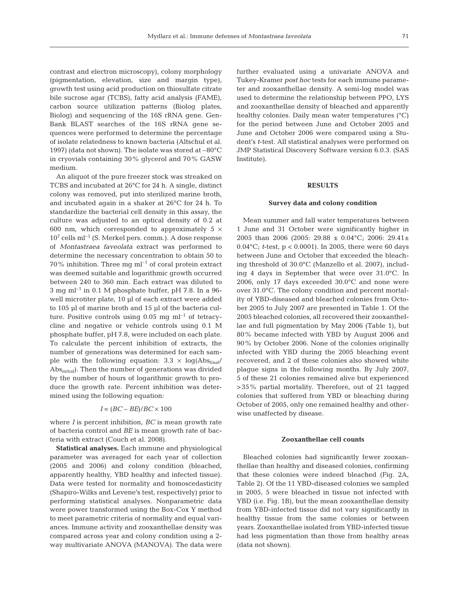contrast and electron microscopy), colony morphology (pigmentation, elevation, size and margin type), growth test using acid production on thiosulfate citrate bile sucrose agar (TCBS), fatty acid analysis (FAME), carbon source utilization patterns (Biolog plates, Biolog) and sequencing of the 16S rRNA gene. Gen-Bank BLAST searches of the 16S rRNA gene sequences were performed to determine the percentage of isolate relatedness to known bacteria (Altschul et al. 1997) (data not shown). The isolate was stored at –80°C

in cryovials containing 30% glycerol and 70% GASW

medium. An aliquot of the pure freezer stock was streaked on TCBS and incubated at 26°C for 24 h. A single, distinct colony was removed, put into sterilized marine broth, and incubated again in a shaker at 26°C for 24 h. To standardize the bacterial cell density in this assay, the culture was adjusted to an optical density of 0.2 at 600 nm, which corresponded to approximately 5  $\times$  $10^7$  cells ml<sup>-1</sup> (S. Merkel pers. comm.). A dose response of *Montastraea faveolata* extract was performed to determine the necessary concentration to obtain 50 to 70% inhibition. Three mg  $ml^{-1}$  of coral protein extract was deemed suitable and logarithmic growth occurred between 240 to 360 min. Each extract was diluted to 3 mg m $l^{-1}$  in 0.1 M phosphate buffer, pH 7.8. In a 96well microtiter plate, 10 µl of each extract were added to 105 µl of marine broth and 15 µl of the bacteria culture. Positive controls using  $0.05$  mg ml<sup>-1</sup> of tetracycline and negative or vehicle controls using 0.1 M phosphate buffer, pH 7.8, were included on each plate. To calculate the percent inhibition of extracts, the number of generations was determined for each sample with the following equation:  $3.3 \times \log(Abs_{final}/$ Abs<sub>initial</sub>). Then the number of generations was divided by the number of hours of logarithmic growth to produce the growth rate. Percent inhibition was determined using the following equation:

$$
I = (BC - BE)/BC \times 100
$$

where *I* is percent inhibition, *BC* is mean growth rate of bacteria control and *BE* is mean growth rate of bacteria with extract (Couch et al. 2008).

**Statistical analyses.** Each immune and physiological parameter was averaged for each year of collection (2005 and 2006) and colony condition (bleached, apparently healthy, YBD healthy and infected tissue). Data were tested for normality and homoscedasticity (Shapiro-Wilks and Levene's test, respectively) prior to performing statistical analyses. Nonparametric data were power transformed using the Box-Cox Y method to meet parametric criteria of normality and equal variances. Immune activity and zooxanthellae density was compared across year and colony condition using a 2 way multivariate ANOVA (MANOVA). The data were further evaluated using a univariate ANOVA and Tukey-Kramer *post hoc* tests for each immune parameter and zooxanthellae density. A semi-log model was used to determine the relationship between PPO, LYS and zooxanthellae density of bleached and apparently healthy colonies. Daily mean water temperatures (°C) for the period between June and October 2005 and June and October 2006 were compared using a Student's *t*-test. All statistical analyses were performed on JMP Statistical Discovery Software version 6.0.3. (SAS Institute).

# **RESULTS**

#### **Survey data and colony condition**

Mean summer and fall water temperatures between 1 June and 31 October were significantly higher in 2005 than 2006 (2005: 29.88 ± 0.04°C; 2006: 29.41± 0.04°C; *t*-test, p < 0.0001). In 2005, there were 60 days between June and October that exceeded the bleaching threshold of 30.0°C (Manzello et al. 2007), including 4 days in September that were over 31.0°C. In 2006, only 17 days exceeded 30.0°C and none were over 31.0°C. The colony condition and percent mortality of YBD-diseased and bleached colonies from October 2005 to July 2007 are presented in Table 1. Of the 2005 bleached colonies, all recovered their zooxanthellae and full pigmentation by May 2006 (Table 1), but 80% became infected with YBD by August 2006 and 90% by October 2006. None of the colonies originally infected with YBD during the 2005 bleaching event recovered, and 2 of these colonies also showed white plague signs in the following months. By July 2007, 5 of these 21 colonies remained alive but experienced >35% partial mortality. Therefore, out of 21 tagged colonies that suffered from YBD or bleaching during October of 2005, only one remained healthy and otherwise unaffected by disease.

#### **Zooxanthellae cell counts**

Bleached colonies had significantly fewer zooxanthellae than healthy and diseased colonies, confirming that these colonies were indeed bleached (Fig. 2A, Table 2). Of the 11 YBD-diseased colonies we sampled in 2005, 5 were bleached in tissue not infected with YBD (i.e. Fig. 1B), but the mean zooxanthellae density from YBD-infected tissue did not vary significantly in healthy tissue from the same colonies or between years. Zooxanthellae isolated from YBD-infected tissue had less pigmentation than those from healthy areas (data not shown).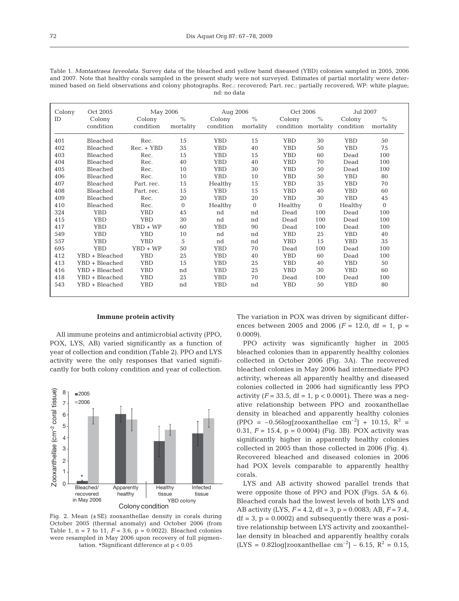| Table 1. Montastraea faveolata. Survey data of the bleached and yellow band diseased (YBD) colonies sampled in 2005, 2006     |
|-------------------------------------------------------------------------------------------------------------------------------|
| and 2007. Note that healthy corals sampled in the present study were not surveyed. Estimates of partial mortality were deter- |
| mined based on field observations and colony photographs. Rec.: recovered; Part. rec.: partially recovered; WP: white plaque; |
| nd: no data                                                                                                                   |

| Colony | Oct 2005       | May 2006     |              | Aug 2006   |               | Oct 2006   |          | Jul 2007                      |               |  |
|--------|----------------|--------------|--------------|------------|---------------|------------|----------|-------------------------------|---------------|--|
| ID     | Colony         | Colony       | $\%$         | Colony     | $\frac{0}{0}$ | Colony     | $\%$     | Colony                        | $\frac{0}{0}$ |  |
|        | condition      | condition    | mortality    | condition  | mortality     |            |          | condition mortality condition | mortality     |  |
|        |                |              |              |            |               |            |          |                               |               |  |
| 401    | Bleached       | Rec.         | 15           | <b>YBD</b> | 15            | <b>YBD</b> | 30       | <b>YBD</b>                    | 50            |  |
| 402    | Bleached       | $Rec. + YBD$ | 35           | <b>YBD</b> | 40            | <b>YBD</b> | 50       | <b>YBD</b>                    | 75            |  |
| 403    | Bleached       | Rec.         | 15           | <b>YBD</b> | 15            | <b>YBD</b> | 60       | Dead                          | 100           |  |
| 404    | Bleached       | Rec.         | 40           | <b>YBD</b> | 40            | <b>YBD</b> | 70       | Dead                          | 100           |  |
| 405    | Bleached       | Rec.         | 10           | <b>YBD</b> | 30            | <b>YBD</b> | 50       | Dead                          | 100           |  |
| 406    | Bleached       | Rec.         | 10           | <b>YBD</b> | 10            | <b>YBD</b> | 50       | <b>YBD</b>                    | 80            |  |
| 407    | Bleached       | Part. rec.   | 15           | Healthy    | 15            | <b>YBD</b> | 35       | <b>YBD</b>                    | 70            |  |
| 408    | Bleached       | Part. rec.   | 15           | <b>YBD</b> | 15            | <b>YBD</b> | 40       | <b>YBD</b>                    | 60            |  |
| 409    | Bleached       | Rec.         | 20           | <b>YBD</b> | 20            | <b>YBD</b> | 30       | <b>YBD</b>                    | 45            |  |
| 410    | Bleached       | Rec.         | $\mathbf{0}$ | Healthy    | $\Omega$      | Healthy    | $\Omega$ | Healthy                       | $\Omega$      |  |
| 324    | <b>YBD</b>     | <b>YBD</b>   | 45           | nd         | nd            | Dead       | 100      | Dead                          | 100           |  |
| 415    | <b>YBD</b>     | <b>YBD</b>   | 30           | nd         | nd            | Dead       | 100      | Dead                          | 100           |  |
| 417    | <b>YBD</b>     | $YBD + WP$   | 60           | <b>YBD</b> | 90            | Dead       | 100      | Dead                          | 100           |  |
| 549    | <b>YBD</b>     | <b>YBD</b>   | 10           | nd         | nd            | <b>YBD</b> | 25       | <b>YBD</b>                    | 40            |  |
| 557    | <b>YBD</b>     | <b>YBD</b>   | 5            | nd         | nd            | <b>YBD</b> | 15       | <b>YBD</b>                    | 35            |  |
| 695    | <b>YBD</b>     | $YBD + WP$   | 50           | <b>YBD</b> | 70            | Dead       | 100      | Dead                          | 100           |  |
| 412    | YBD + Bleached | <b>YBD</b>   | 25           | <b>YBD</b> | 40            | YBD        | 60       | Dead                          | 100           |  |
| 413    | YBD + Bleached | <b>YBD</b>   | 15           | <b>YBD</b> | 25            | <b>YBD</b> | 40       | <b>YBD</b>                    | 50            |  |
| 416    | YBD + Bleached | <b>YBD</b>   | nd           | <b>YBD</b> | 25            | <b>YBD</b> | 30       | <b>YBD</b>                    | 60            |  |
| 418    | YBD + Bleached | <b>YBD</b>   | 25           | <b>YBD</b> | 70            | Dead       | 100      | Dead                          | 100           |  |
| 543    | YBD + Bleached | <b>YBD</b>   | nd           | <b>YBD</b> | nd            | YBD        | 50       | YBD                           | 80            |  |
|        |                |              |              |            |               |            |          |                               |               |  |

# **Immune protein activity**

All immune proteins and antimicrobial activity (PPO, POX, LYS, AB) varied significantly as a function of year of collection and condition (Table 2). PPO and LYS activity were the only responses that varied significantly for both colony condition and year of collection.



Fig. 2. Mean  $(\pm SE)$  zooxanthellae density in corals during October 2005 (thermal anomaly) and October 2006 (from Table 1,  $n = 7$  to 11,  $F = 3.6$ ,  $p = 0.0022$ ). Bleached colonies were resampled in May 2006 upon recovery of full pigmentation. #Significant difference at p < 0.05

The variation in POX was driven by significant differences between 2005 and 2006 ( $F = 12.0$ , df = 1, p = 0.0009).

PPO activity was significantly higher in 2005 bleached colonies than in apparently healthy colonies collected in October 2006 (Fig. 3A). The recovered bleached colonies in May 2006 had intermediate PPO activity, whereas all apparently healthy and diseased colonies collected in 2006 had significantly less PPO activity ( $F = 33.5$ , df = 1,  $p < 0.0001$ ). There was a negative relationship between PPO and zooxanthellae density in bleached and apparently healthy colonies (PPO =  $-0.56\log$ [zooxanthellae cm<sup>-2</sup>] + 10.15, R<sup>2</sup> = 0.31,  $F = 15.4$ ,  $p = 0.0004$ ) (Fig. 3B). POX activity was significantly higher in apparently healthy colonies collected in 2005 than those collected in 2006 (Fig. 4). Recovered bleached and diseased colonies in 2006 had POX levels comparable to apparently healthy corals.

LYS and AB activity showed parallel trends that were opposite those of PPO and POX (Figs. 5A & 6). Bleached corals had the lowest levels of both LYS and AB activity (LYS, *F* = 4.2, df = 3, p = 0.0083; AB, *F* = 7.4,  $df = 3$ ,  $p = 0.0002$ ) and subsequently there was a positive relationship between LYS activity and zooxanthellae density in bleached and apparently healthy corals  $(LYS = 0.82 \log[zooxanthellae cm^{-2}] - 6.15, R^2 = 0.15,$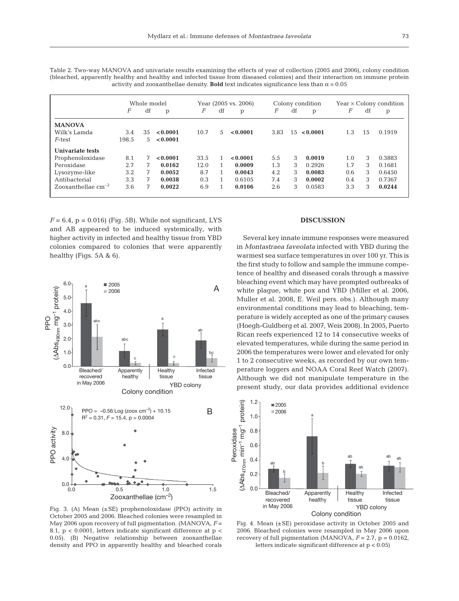|                      | Whole model<br>df<br>F<br>p |    | Year (2005 vs. 2006)<br>F<br>df<br>p |      | Colony condition<br>F<br>df<br>p |          |      | $Year \times Colony$ condition<br>F<br>df<br>p |          |     |    |        |
|----------------------|-----------------------------|----|--------------------------------------|------|----------------------------------|----------|------|------------------------------------------------|----------|-----|----|--------|
| <b>MANOVA</b>        |                             |    |                                      |      |                                  |          |      |                                                |          |     |    |        |
| Wilk's Lamda         | 3.4                         | 35 | < 0.0001                             | 10.7 | 5                                | < 0.0001 | 3.83 | 1.5                                            | < 0.0001 | 1.3 | 15 | 0.1919 |
| $F$ -test            | 198.5                       | 5  | < 0.0001                             |      |                                  |          |      |                                                |          |     |    |        |
| Univariate tests     |                             |    |                                      |      |                                  |          |      |                                                |          |     |    |        |
| Prophenoloxidase     | 8.1                         | 7  | < 0.0001                             | 33.5 |                                  | < 0.0001 | 5.5  | 3                                              | 0.0019   | 1.0 | 3  | 0.3883 |
| Peroxidase           | 2.7                         | 7  | 0.0162                               | 12.0 |                                  | 0.0009   | 1.3  | 3                                              | 0.2926   | 1.7 | 3  | 0.1681 |
| Lysozyme-like        | 3.2                         | 7  | 0.0052                               | 8.7  |                                  | 0.0043   | 4.2  | 3                                              | 0.0083   | 0.6 | 3  | 0.6450 |
| Antibacterial        | 3.3                         | 7  | 0.0038                               | 0.3  |                                  | 0.6105   | 7.4  | 3                                              | 0.0002   | 0.4 | 3  | 0.7367 |
| Zooxanthellae $cm-2$ | 3.6                         | 7  | 0.0022                               | 6.9  |                                  | 0.0106   | 2.6  | 3                                              | 0.0583   | 3.3 | 3  | 0.0244 |

Table 2. Two-way MANOVA and univariate results examining the effects of year of collection (2005 and 2006), colony condition (bleached, apparently healthy and healthy and infected tissue from diseased colonies) and their interaction on immune protein activity and zooxanthellae density. **Bold** text indicates significance less than  $\alpha = 0.05$ 

 $F = 6.4$ ,  $p = 0.016$ ) (Fig. 5B). While not significant, LYS and AB appeared to be induced systemically, with higher activity in infected and healthy tissue from YBD colonies compared to colonies that were apparently healthy (Figs. 5A & 6).



# **DISCUSSION**

Several key innate immune responses were measured in *Montastraea faveolata* infected with YBD during the warmest sea surface temperatures in over 100 yr. This is the first study to follow and sample the immune competence of healthy and diseased corals through a massive bleaching event which may have prompted outbreaks of white plague, white pox and YBD (Miller et al. 2006, Muller et al. 2008, E. Weil pers. obs.). Although many environmental conditions may lead to bleaching, temperature is widely accepted as one of the primary causes (Hoegh-Guldberg et al. 2007, Weis 2008). In 2005, Puerto Rican reefs experienced 12 to 14 consecutive weeks of elevated temperatures, while during the same period in 2006 the temperatures were lower and elevated for only 1 to 2 consecutive weeks, as recorded by our own temperature loggers and NOAA Coral Reef Watch (2007). Although we did not manipulate temperature in the present study, our data provides additional evidence



Fig. 3. (A) Mean (±SE) prophenoloxidase (PPO) activity in October 2005 and 2006. Bleached colonies were resampled in May 2006 upon recovery of full pigmentation. (MANOVA, *F* = 8.1, p < 0.0001, letters indicate significant difference at p < 0.05). (B) Negative relationship between zooxanthellae density and PPO in apparently healthy and bleached corals

Fig. 4. Mean (±SE) peroxidase activity in October 2005 and 2006. Bleached colonies were resampled in May 2006 upon recovery of full pigmentation (MANOVA,  $F = 2.7$ ,  $p = 0.0162$ , letters indicate significant difference at p < 0.05)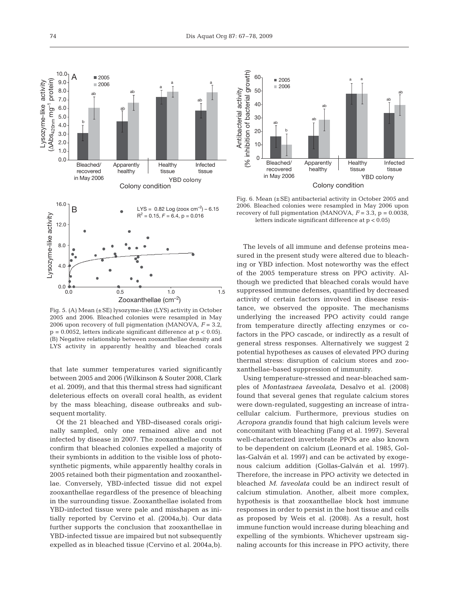

Fig. 5. (A) Mean (±SE) lysozyme-like (LYS) activity in October 2005 and 2006. Bleached colonies were resampled in May 2006 upon recovery of full pigmentation (MANOVA, *F* = 3.2,  $p = 0.0052$ , letters indicate significant difference at  $p < 0.05$ ). (B) Negative relationship between zooxanthellae density and LYS activity in apparently healthy and bleached corals

that late summer temperatures varied significantly between 2005 and 2006 (Wilkinson & Souter 2008, Clark et al. 2009), and that this thermal stress had significant deleterious effects on overall coral health, as evident by the mass bleaching, disease outbreaks and subsequent mortality.

Of the 21 bleached and YBD-diseased corals originally sampled, only one remained alive and not infected by disease in 2007. The zooxanthellae counts confirm that bleached colonies expelled a majority of their symbionts in addition to the visible loss of photosynthetic pigments, while apparently healthy corals in 2005 retained both their pigmentation and zooxanthellae. Conversely, YBD-infected tissue did not expel zooxanthellae regardless of the presence of bleaching in the surrounding tissue. Zooxanthellae isolated from YBD-infected tissue were pale and misshapen as initially reported by Cervino et al. (2004a,b). Our data further supports the conclusion that zooxanthellae in YBD-infected tissue are impaired but not subsequently expelled as in bleached tissue (Cervino et al. 2004a,b).



Fig. 6. Mean (±SE) antibacterial activity in October 2005 and 2006. Bleached colonies were resampled in May 2006 upon recovery of full pigmentation (MANOVA,  $F = 3.3$ ,  $p = 0.0038$ , letters indicate significant difference at p < 0.05)

The levels of all immune and defense proteins measured in the present study were altered due to bleaching or YBD infection. Most noteworthy was the effect of the 2005 temperature stress on PPO activity. Although we predicted that bleached corals would have suppressed immune defenses, quantified by decreased activity of certain factors involved in disease resistance, we observed the opposite. The mechanisms underlying the increased PPO activity could range from temperature directly affecting enzymes or cofactors in the PPO cascade, or indirectly as a result of general stress responses. Alternatively we suggest 2 potential hypotheses as causes of elevated PPO during thermal stress: disruption of calcium stores and zooxanthellae-based suppression of immunity.

Using temperature-stressed and near-bleached samples of *Montastraea faveolata*, Desalvo et al. (2008) found that several genes that regulate calcium stores were down-regulated, suggesting an increase of intracellular calcium. Furthermore, previous studies on *Acropora grandis* found that high calcium levels were concomitant with bleaching (Fang et al. 1997). Several well-characterized invertebrate PPOs are also known to be dependent on calcium (Leonard et al. 1985, Gollas-Galván et al. 1997) and can be activated by exogenous calcium addition (Gollas-Galván et al. 1997). Therefore, the increase in PPO activity we detected in bleached *M. faveolata* could be an indirect result of calcium stimulation. Another, albeit more complex, hypothesis is that zooxanthellae block host immune responses in order to persist in the host tissue and cells as proposed by Weis et al. (2008). As a result, host immune function would increase during bleaching and expelling of the symbionts. Whichever upstream signaling accounts for this increase in PPO activity, there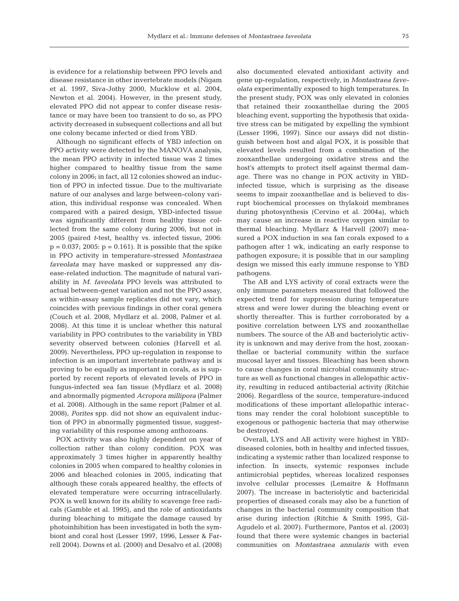is evidence for a relationship between PPO levels and disease resistance in other invertebrate models (Nigam et al. 1997, Siva-Jothy 2000, Mucklow et al. 2004, Newton et al. 2004). However, in the present study, elevated PPO did not appear to confer disease resistance or may have been too transient to do so, as PPO activity decreased in subsequent collections and all but one colony became infected or died from YBD.

Although no significant effects of YBD infection on PPO activity were detected by the MANOVA analysis, the mean PPO activity in infected tissue was 2 times higher compared to healthy tissue from the same colony in 2006; in fact, all 12 colonies showed an induction of PPO in infected tissue. Due to the multivariate nature of our analyses and large between-colony variation, this individual response was concealed. When compared with a paired design, YBD-infected tissue was significantly different from healthy tissue collected from the same colony during 2006, but not in 2005 (paired *t*-test, healthy vs. infected tissue, 2006:  $p = 0.037$ ; 2005:  $p = 0.161$ . It is possible that the spike in PPO activity in temperature-stressed *Montastraea faveolata* may have masked or suppressed any disease-related induction. The magnitude of natural variability in *M. faveolata* PPO levels was attributed to actual between-genet variation and not the PPO assay, as within-assay sample replicates did not vary, which coincides with previous findings in other coral genera (Couch et al. 2008, Mydlarz et al. 2008, Palmer et al. 2008). At this time it is unclear whether this natural variability in PPO contributes to the variability in YBD severity observed between colonies (Harvell et al. 2009). Nevertheless, PPO up-regulation in response to infection is an important invertebrate pathway and is proving to be equally as important in corals, as is supported by recent reports of elevated levels of PPO in fungus-infected sea fan tissue (Mydlarz et al. 2008) and abnormally pigmented *Acropora millipora* (Palmer et al. 2008). Although in the same report (Palmer et al. 2008), *Porites* spp. did not show an equivalent induction of PPO in abnormally pigmented tissue, suggesting variability of this response among anthozoans.

POX activity was also highly dependent on year of collection rather than colony condition. POX was approximately 3 times higher in apparently healthy colonies in 2005 when compared to healthy colonies in 2006 and bleached colonies in 2005, indicating that although these corals appeared healthy, the effects of elevated temperature were occurring intracellularly. POX is well known for its ability to scavenge free radicals (Gamble et al. 1995), and the role of antioxidants during bleaching to mitigate the damage caused by photoinhibition has been investigated in both the symbiont and coral host (Lesser 1997, 1996, Lesser & Farrell 2004). Downs et al. (2000) and Desalvo et al. (2008) also documented elevated antioxidant activity and gene up-regulation, respectively, in *Montastraea faveolata* experimentally exposed to high temperatures. In the present study, POX was only elevated in colonies that retained their zooxanthellae during the 2005 bleaching event, supporting the hypothesis that oxidative stress can be mitigated by expelling the symbiont (Lesser 1996, 1997). Since our assays did not distinguish between host and algal POX, it is possible that elevated levels resulted from a combination of the zooxanthellae undergoing oxidative stress and the host's attempts to protect itself against thermal damage. There was no change in POX activity in YBDinfected tissue, which is surprising as the disease seems to impair zooxanthellae and is believed to disrupt biochemical processes on thylakoid membranes during photosynthesis (Cervino et al. 2004a), which may cause an increase in reactive oxygen similar to thermal bleaching. Mydlarz & Harvell (2007) measured a POX induction in sea fan corals exposed to a pathogen after 1 wk, indicating an early response to pathogen exposure; it is possible that in our sampling design we missed this early immune response to YBD pathogens.

The AB and LYS activity of coral extracts were the only immune parameters measured that followed the expected trend for suppression during temperature stress and were lower during the bleaching event or shortly thereafter. This is further corroborated by a positive correlation between LYS and zooxanthellae numbers. The source of the AB and bacteriolytic activity is unknown and may derive from the host, zooxanthellae or bacterial community within the surface mucosal layer and tissues. Bleaching has been shown to cause changes in coral microbial community structure as well as functional changes in allelopathic activity, resulting in reduced antibacterial activity (Ritchie 2006). Regardless of the source, temperature-induced modifications of these important allelopathic interactions may render the coral holobiont susceptible to exogenous or pathogenic bacteria that may otherwise be destroyed.

Overall, LYS and AB activity were highest in YBDdiseased colonies, both in healthy and infected tissues, indicating a systemic rather than localized response to infection. In insects, systemic responses include antimicrobial peptides, whereas localized responses involve cellular processes (Lemaitre & Hoffmann 2007). The increase in bacteriolytic and bactericidal properties of diseased corals may also be a function of changes in the bacterial community composition that arise during infection (Ritchie & Smith 1995, Gil-Agudelo et al. 2007). Furthermore, Pantos et al. (2003) found that there were systemic changes in bacterial communities on *Montastraea annularis* with even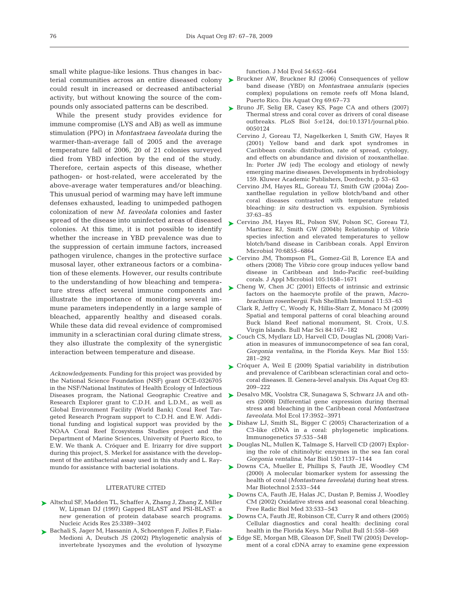small white plague-like lesions. Thus changes in baccould result in increased or decreased antibacterial activity, but without knowing the source of the compounds only associated patterns can be described.

While the present study provides evidence for immune compromise (LYS and AB) as well as immune stimulation (PPO) in *Montastraea faveolata* during the warmer-than-average fall of 2005 and the average temperature fall of 2006, 20 of 21 colonies surveyed died from YBD infection by the end of the study. Therefore, certain aspects of this disease, whether pathogen- or host-related, were accelerated by the above-average water temperatures and/or bleaching. This unusual period of warming may have left immune defenses exhausted, leading to unimpeded pathogen colonization of new *M. faveolata* colonies and faster spread of the disease into uninfected areas of diseased colonies. At this time, it is not possible to identify whether the increase in YBD prevalence was due to the suppression of certain immune factors, increased pathogen virulence, changes in the protective surface musosal layer, other extraneous factors or a combination of these elements. However, our results contribute to the understanding of how bleaching and temperature stress affect several immune components and illustrate the importance of monitoring several immune parameters independently in a large sample of bleached, apparently healthy and diseased corals. While these data did reveal evidence of compromised immunity in a scleractinian coral during climate stress, they also illustrate the complexity of the synergistic interaction between temperature and disease.

*Acknowledgements.* Funding for this project was provided by the National Science Foundation (NSF) grant OCE-0326705 in the NSF/National Institutes of Health Ecology of Infectious Diseases program, the National Geographic Creative and Research Explorer grant to C.D.H. and L.D.M., as well as Global Environment Facility (World Bank) Coral Reef Targeted Research Program support to C.D.H. and E.W. Additional funding and logistical support was provided by the NOAA Coral Reef Ecosystems Studies project and the Department of Marine Sciences, University of Puerto Rico, to E.W. We thank A. Cróquer and E. Irizarry for dive support during this project, S. Merkel for assistance with the development of the antibacterial assay used in this study and L. Raymundo for assistance with bacterial isolations.

## LITERATURE CITED

- ▶ Altschul SF, Madden TL, Schaffer A, Zhang J, Zhang Z, Miller W, Lipman DJ (1997) Gapped BLAST and PSI-BLAST: a new generation of protein database search programs. Nucleic Acids Res 25:3389–3402
- ▶ Bachali S, Jager M, Hassanin A, Schoentgen F, Jolles P, Fiala-Medioni A, Deutsch JS (2002) Phylogenetic analysis of invertebrate lysozymes and the evolution of lysozyme

function. J Mol Evol 54:652–664

- terial communities across an entire diseased colony ▶ Bruckner AW, Bruckner RJ (2006) Consequences of yellow band disease (YBD) on *Montastraea annularis* (species complex) populations on remote reefs off Mona Island, Puerto Rico. Dis Aquat Org 69:67–73
	- ► Bruno JF, Selig ER, Casey KS, Page CA and others (2007) Thermal stress and coral cover as drivers of coral disease outbreaks. PLoS Biol 5:e124, doi:10.1371/journal.pbio. 0050124
		- Cervino J, Goreau TJ, Nagelkerken I, Smith GW, Hayes R (2001) Yellow band and dark spot syndromes in Caribbean corals: distribution, rate of spread, cytology, and effects on abundance and division of zooxanthellae. In: Porter JW (ed) The ecology and etiology of newly emerging marine diseases. Developments in hydrobiology 159. Kluwer Academic Publishers, Dordrecht, p 53–63
		- Cervino JM, Hayes RL, Goreau TJ, Smith GW (2004a) Zooxanthellae regulation in yellow blotch/band and other coral diseases contrasted with temperature related bleaching: *in situ* destruction vs. expulsion. Symbiosis 37:63–85
	- ► Cervino JM, Hayes RL, Polson SW, Polson SC, Goreau TJ, Martinez RJ, Smith GW (2004b) Relationship of *Vibrio* species infection and elevated temperatures to yellow blotch/band disease in Caribbean corals. Appl Environ Microbiol 70:6855–6864
	- ► Cervino JM, Thompson FL, Gomez-Gil B, Lorence EA and others (2008) The *Vibrio* core group induces yellow band disease in Caribbean and Indo-Pacific reef-building corals. J Appl Microbiol 105:1658–1671
	- ► Cheng W, Chen JC (2001) Effects of intrinsic and extrinsic factors on the haemocyte profile of the prawn, *Macrobrachium rosenbergii*. Fish Shellfish Immunol 11:53–63
		- Clark R, Jeffry C, Woody K, Hillis-Starr Z, Monaco M (2009) Spatial and temporal patterns of coral bleaching around Buck Island Reef national monument, St. Croix, U.S. Virgin Islands. Bull Mar Sci 84:167–182
	- ► Couch CS, Mydlarz LD, Harvell CD, Douglas NL (2008) Variation in measures of immunocompetence of sea fan coral, *Gorgonia ventalina*, in the Florida Keys. Mar Biol 155: 281–292
	- ► Cróquer A, Weil E (2009) Spatial variability in distribution and prevalence of Caribbean scleractinian coral and octocoral diseases. II. Genera-level analysis. Dis Aquat Org 83: 209–222
	- ► Desalvo MK, Voolstra CR, Sunagawa S, Schwarz JA and others (2008) Differential gene expression during thermal stress and bleaching in the Caribbean coral *Montastraea faveolata*. Mol Ecol 17:3952–3971
	- ▶ Dishaw LJ, Smith SL, Bigger C (2005) Characterization of a C3-like cDNA in a coral: phylogenetic implications. Immunogenetics 57:535–548
	- ► Douglas NL, Mullen K, Talmage S, Harvell CD (2007) Exploring the role of chitinolytic enzymes in the sea fan coral *Gorgonia ventalina*. Mar Biol 150:1137–1144
	- ▶ Downs CA, Mueller E, Phillips S, Fauth JE, Woodley CM (2000) A molecular biomarker system for assessing the health of coral (*Montastraea faveolata*) during heat stress. Mar Biotechnol 2:533–544
	- ► Downs CA, Fauth JE, Halas JC, Dustan P, Bemiss J, Woodley CM (2002) Oxidative stress and seasonal coral bleaching. Free Radic Biol Med 33:533–543
	- ► Downs CA, Fauth JE, Robinson CE, Curry R and others (2005) Cellular diagnostics and coral health: declining coral health in the Florida Keys. Mar Pollut Bull 51:558–569
	- ► Edge SE, Morgan MB, Gleason DF, Snell TW (2005) Development of a coral cDNA array to examine gene expression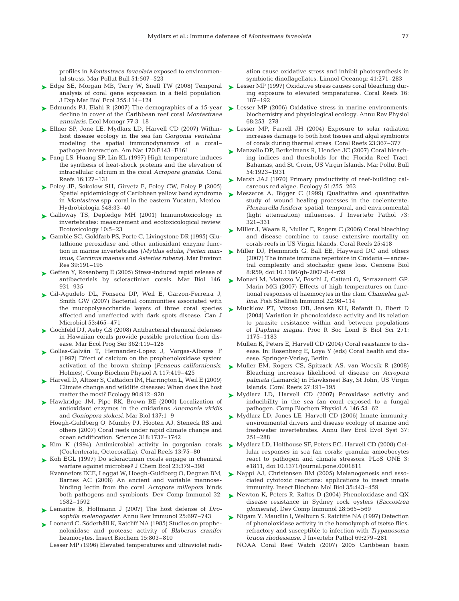profiles in *Montastraea faveolata* exposed to environmental stress. Mar Pollut Bull 51:507–523

- ► Edge SE, Morgan MB, Terry W, Snell TW (2008) Temporal ► Lesser MP (1997) Oxidative stress causes coral bleaching duranalysis of coral gene expression in a field population. J Exp Mar Biol Ecol 355:114–124
- ► Edmunds PJ, Elahi R (2007) The demographics of a 15-year decline in cover of the Caribbean reef coral *Montastraea annularis*. Ecol Monogr 77:3–18
- ► Ellner SP, Jone LE, Mydlarz LD, Harvell CD (2007) Withinhost disease ecology in the sea fan *Gorgonia ventalina*: modeling the spatial immunodynamics of a coral– pathogen interaction. Am Nat 170:E143–E161
- ► Fang LS, Huang SP, Lin KL (1997) High temperature induces the synthesis of heat-shock proteins and the elevation of intracellular calcium in the coral *Acropora grandis*. Coral Reefs 16:127–131
- ► Foley JE, Sokolow SH, Girvetz E, Foley CW, Foley P (2005) Spatial epidemiology of Caribbean yellow band syndrome in *Montastrea* spp. coral in the eastern Yucatan, Mexico. Hydrobiologia 548:33–40
- ► Galloway TS, Depledge MH (2001) Immunotoxicology in invertebrates: measurement and ecotoxicological review. Ecotoxicology 10:5–23
- ► Gamble SC, Goldfarb PS, Porte C, Livingstone DR (1995) Glutathione peroxidase and other antioxidant enzyme function in marine invertebrates (*Mytilus edulis*, *Pecten maximus*, *Carcinus maenas* and *Asterias rubens*). Mar Environ Res 39:191–195
- ► Geffen Y, Rosenberg E (2005) Stress-induced rapid release of antibacterials by scleractinian corals. Mar Biol 146: 931–935
- Gil-Agudelo DL, Fonseca DP, Weil E, Garzon-Ferreira J, ➤ Smith GW (2007) Bacterial communities associated with the mucopolysaccharide layers of three coral species affected and unaffected with dark spots disease. Can J Microbiol 53:465–471
- ► Gochfeld DJ, Aeby GS (2008) Antibacterial chemical defenses in Hawaiian corals provide possible protection from disease. Mar Ecol Prog Ser 362:119–128
- Gollas-Galván T, Hernandez-Lopez J, Vargas-Albores F ➤ (1997) Effect of calcium on the prophenoloxidase system activation of the brown shrimp (*Penaeus californiensis*, Holmes). Comp Biochem Physiol A 117:419–425
- ► Harvell D, Altizer S, Cattadori IM, Harrington L, Weil E (2009) Climate change and wildlife diseases: When does the host matter the most? Ecology 90:912–920
- ▶ Hawkridge JM, Pipe RK, Brown BE (2000) Localization of antioxidant enzymes in the cnidarians *Anemonia viridis* and *Goniopora stokesi*. Mar Biol 137:1–9
	- Hoegh-Guldberg O, Mumby PJ, Hooten AJ, Steneck RS and others (2007) Coral reefs under rapid climate change and ocean acidification. Science 318:1737–1742
- Kim K (1994) Antimicrobial activity in gorgonian corals ➤ (Coelenterata, Octocorallia). Coral Reefs 13:75–80
- ► Koh EGL (1997) Do scleractinian corals engage in chemical warfare against microbes? J Chem Ecol 23:379–398
	- Kvennefors ECE, Leggat W, Hoegh-Guldberg O, Degnan BM, Barnes AC (2008) An ancient and variable mannosebinding lectin from the coral *Acropora millepora* binds both pathogens and symbionts. Dev Comp Immunol 32: 1582–1592
- Lemaitre B, Hoffmann J (2007) The host defense of *Dro-*➤ *sophila melanogaster*. Annu Rev Immunol 25:697–743
- ► Leonard C, Söderhäll K, Ratcliff NA (1985) Studies on prophenoloxidase and protease activity of *Blaberus cranifer* heamocytes. Insect Biochem 15:803–810

Lesser MP (1996) Elevated temperatures and ultraviolet radi-

ation cause oxidative stress and inhibit photosynthesis in symbiotic dinoflagellates. Limnol Oceanogr 41:271–283

- ing exposure to elevated temperatures. Coral Reefs 16: 187–192
- ► Lesser MP (2006) Oxidative stress in marine environments: biochemistry and physiological ecology. Annu Rev Physiol 68:253–278
- ► Lesser MP, Farrell JH (2004) Exposure to solar radiation increases damage to both host tissues and algal symbionts of corals during thermal stress. Coral Reefs 23:367–377
- ► Manzello DP, Berkelmans R, Hendee JC (2007) Coral bleaching indices and thresholds for the Florida Reef Tract, Bahamas, and St. Croix, US Virgin Islands. Mar Pollut Bull 54:1923–1931
- ► Marsh JAJ (1970) Primary productivity of reef-building calcareous red algae. Ecology 51:255–263
- ► Meszaros A, Bigger C (1999) Qualitative and quantitative study of wound healing processes in the coelenterate, *Plexaurella fusifera*: spatial, temporal, and environmental (light attenuation) influences. J Invertebr Pathol 73: 321–331
- ► Miller J, Waara R, Muller E, Rogers C (2006) Coral bleaching and disease combine to cause extensive mortality on corals reefs in US Virgin Islands. Coral Reefs 25:418
- ► Miller DJ, Hemmrich G, Ball EE, Hayward DC and others (2007) The innate immune repertoire in Cnidaria — ancestral complexity and stochastic gene loss. Genome Biol 8:R59, doi:10.1186/gb-2007-8-4-r59
- ► Monari M, Matozzo V, Foschi J, Cattani O, Serrazanetti GP, Marin MG (2007) Effects of high temperatures on functional responses of haemocytes in the clam *Chamelea gallina*. Fish Shellfish Immunol 22:98–114
- Mucklow PT, Vizoso DB, Jensen KH, Refardt D, Ebert D ➤ (2004) Variation in phenoloxidase activity and its relation to parasite resistance within and between populations of *Daphnia magna*. Proc R Soc Lond B Biol Sci 271: 1175–1183
	- Mullen K, Peters E, Harvell CD (2004) Coral resistance to disease. In: Rosenberg E, Loya Y (eds) Coral health and disease. Springer-Verlag, Berlin
- ► Muller EM, Rogers CS, Spitzack AS, van Woesik R (2008) Bleaching increases likelihood of disease on *Acropora palmata* (Lamarck) in Hawksnest Bay, St John, US Virgin Islands. Coral Reefs 27:191–195
- ▶ Mydlarz LD, Harvell CD (2007) Peroxidase activity and inducibility in the sea fan coral exposed to a fungal pathogen. Comp Biochem Physiol A 146:54–62
- ► Mydlarz LD, Jones LE, Harvell CD (2006) Innate immunity, environmental drivers and disease ecology of marine and freshwater invertebrates. Annu Rev Ecol Evol Syst 37: 251–288
- ► Mydlarz LD, Holthouse SF, Peters EC, Harvell CD (2008) Cellular responses in sea fan corals: granular amoebocytes react to pathogen and climate stressors. PLoS ONE 3: e1811, doi:10.1371/journal.pone.0001811
- ▶ Nappi AJ, Christensen BM (2005) Melanogenesis and associated cytotoxic reactions: applications to insect innate immunity. Insect Biochem Mol Biol 35:443–459
- ▶ Newton K, Peters R, Raftos D (2004) Phenoloxidase and QX disease resistance in Sydney rock oysters (*Saccostrea glomerata*). Dev Comp Immunol 28:565–569
- ► Nigam Y, Maudlin I, Welburn S, Ratcliffe NA (1997) Detection of phenoloxidase activity in the hemolymph of tsetse flies, refractory and susceptible to infection with *Trypanosoma brucei rhodesiense*. J Invertebr Pathol 69:279–281
	- NOAA Coral Reef Watch (2007) 2005 Caribbean basin